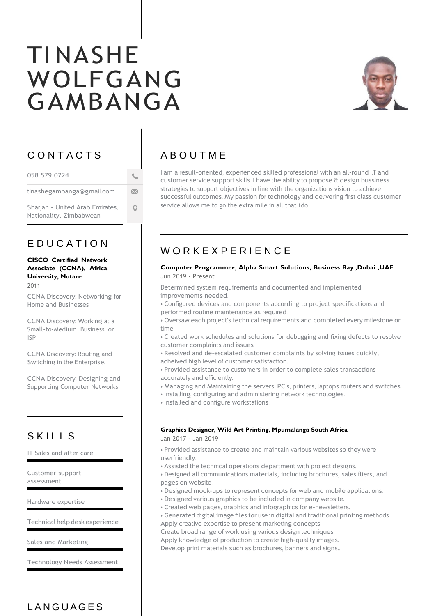# TI NASHE WOLFGANG GAMBANGA



## C O N T A C T S

| 058 579 0724                                               |   |
|------------------------------------------------------------|---|
| tinashegambanga@gmail.com                                  | ⋈ |
| Shariah - United Arab Emirates,<br>Nationality, Zimbabwean |   |

## E D U C A T I O N

#### **CISCO Certified Network Associate (CCNA), Africa University, Mutare**

2011

CCNA Discovery: Networking for Home and Businesses

CCNA Discovery: Working at a Small-to-Medium Business or ISP

CCNA Discovery: Routing and Switching in the Enterprise.

CCNA Discovery: Designing and Supporting Computer Networks

## **SKILLS**

IT Sales and after care

Customer support assessment

Hardware expertise

Technical help desk experience

Sales and Marketing

Technology Needs Assessment

# **LANGUAGES**

# A B O U T M E

I am a result-oriented, experienced skilled professional with an all-round I.T and customer service support skills. I have the ability to propose & design bussiness strategies to support objectives in line with the organizations vision to achieve successful outcomes. My passion for technology and delivering first class customer service allows me to go the extra mile in all that ido

## W O R K E X P E R I E N C E

#### **Computer Programmer, Alpha Smart Solutions, Business Bay ,Dubai ,UAE** Jun 2019 - Present

Determined system requirements and documented and implemented improvements needed.

• Configured devices and components according to project specifications and performed routine maintenance as required.

• Oversaw each project's technical requirements and completed every milestone on time.

- Created work schedules and solutions for debugging and fixing defects to resolve customer complaints and issues.
- Resolved and de-escalated customer complaints by solving issues quickly,
- acheived high level of customer satisfaction.
- Provided assistance to customers in order to complete sales transactions accurately and efficiently.
- Managing and Maintaining the servers, PC's, printers, laptops routers and switches.
- Installing, configuring and administering network technologies.
- Installed and configure workstations.

#### **Graphics Designer, Wild Art Printing, Mpumalanga South Africa**

Jan 2017 - Jan 2019

• Provided assistance to create and maintain various websites so they were userfriendly.

- Assisted the technical operations department with project designs.
- Designed all communications materials, including brochures, sales fliers, and pages on website.
- Designed mock-ups to represent concepts for web and mobile applications.
- Designed various graphics to be included in company website.
- Created web pages, graphics and infographics for e-newsletters.
- Generated digital image files for use in digital and traditional printing methods Apply creative expertise to present marketing concepts.

Create broad range of work using various design techniques.

Apply knowledge of production to create high-quality images.

Develop print materials such as brochures, banners and signs..